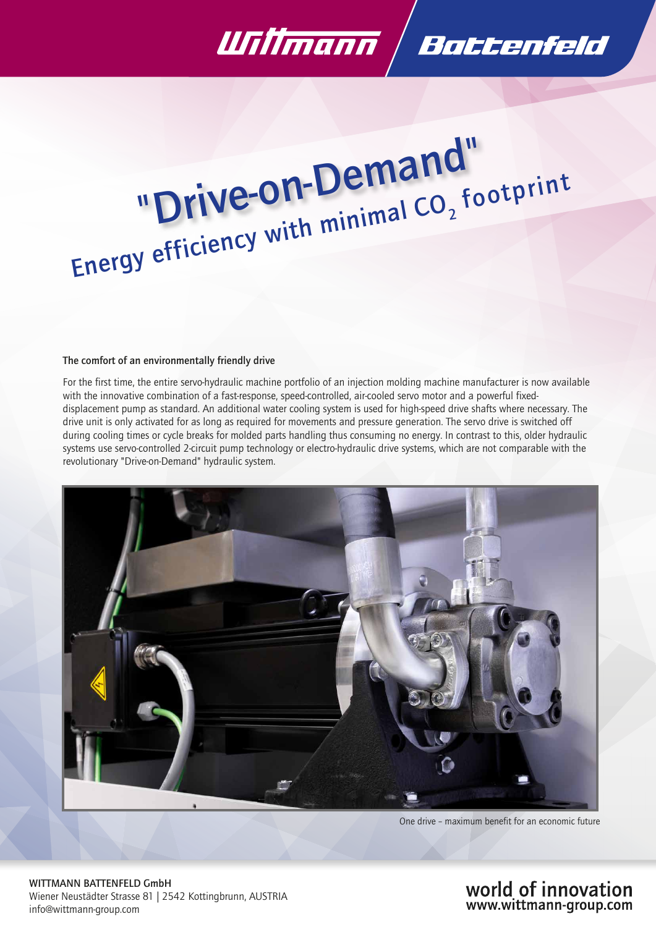

# "Drive-on-Demand" "Drive-Under minimal CO<sub>2</sub><br>Energy efficiency with minimal CO<sub>2</sub> footprint

#### The comfort of an environmentally friendly drive

For the first time, the entire servo-hydraulic machine portfolio of an injection molding machine manufacturer is now available with the innovative combination of a fast-response, speed-controlled, air-cooled servo motor and a powerful fixeddisplacement pump as standard. An additional water cooling system is used for high-speed drive shafts where necessary. The drive unit is only activated for as long as required for movements and pressure generation. The servo drive is switched off during cooling times or cycle breaks for molded parts handling thus consuming no energy. In contrast to this, older hydraulic systems use servo-controlled 2-circuit pump technology or electro-hydraulic drive systems, which are not comparable with the revolutionary "Drive-on-Demand" hydraulic system.



One drive – maximum benefit for an economic future

WITTMANN BATTENFELD GmbH Wiener Neustädter Strasse 81 | 2542 Kottingbrunn, AUSTRIA info@wittmann-group.com

# world of innovation www.wittmann-group.com